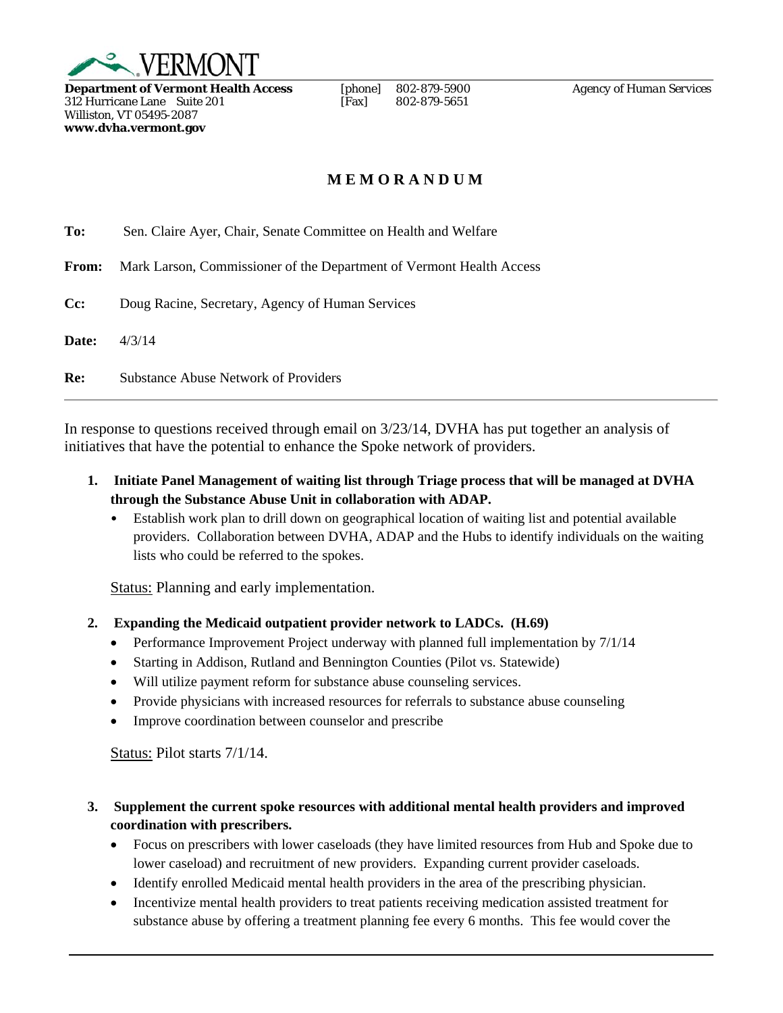

**Department of Vermont Health Access** [phone] 802-879-5900 *Agency of Human Services*<br>312 Hurricane Lane Suite 201 [Fax] 802-879-5651  $312$  Hurricane Lane Suite 201 Williston, VT 05495-2087 **www.dvha.vermont.gov** 

## **M E M O R A N D U M**

**To:** Sen. Claire Ayer, Chair, Senate Committee on Health and Welfare

**From:** Mark Larson, Commissioner of the Department of Vermont Health Access

**Cc:** Doug Racine, Secretary, Agency of Human Services

**Date:** 4/3/14

**Re:** Substance Abuse Network of Providers

In response to questions received through email on 3/23/14, DVHA has put together an analysis of initiatives that have the potential to enhance the Spoke network of providers.

- **1. Initiate Panel Management of waiting list through Triage process that will be managed at DVHA through the Substance Abuse Unit in collaboration with ADAP.**
	- Establish work plan to drill down on geographical location of waiting list and potential available providers. Collaboration between DVHA, ADAP and the Hubs to identify individuals on the waiting lists who could be referred to the spokes.

Status: Planning and early implementation.

- **2. Expanding the Medicaid outpatient provider network to LADCs. (H.69)** 
	- Performance Improvement Project underway with planned full implementation by  $7/1/14$
	- Starting in Addison, Rutland and Bennington Counties (Pilot vs. Statewide)
	- Will utilize payment reform for substance abuse counseling services.
	- Provide physicians with increased resources for referrals to substance abuse counseling
	- Improve coordination between counselor and prescribe

Status: Pilot starts 7/1/14.

- **3. Supplement the current spoke resources with additional mental health providers and improved coordination with prescribers.** 
	- Focus on prescribers with lower caseloads (they have limited resources from Hub and Spoke due to lower caseload) and recruitment of new providers. Expanding current provider caseloads.
	- Identify enrolled Medicaid mental health providers in the area of the prescribing physician.
	- Incentivize mental health providers to treat patients receiving medication assisted treatment for substance abuse by offering a treatment planning fee every 6 months. This fee would cover the